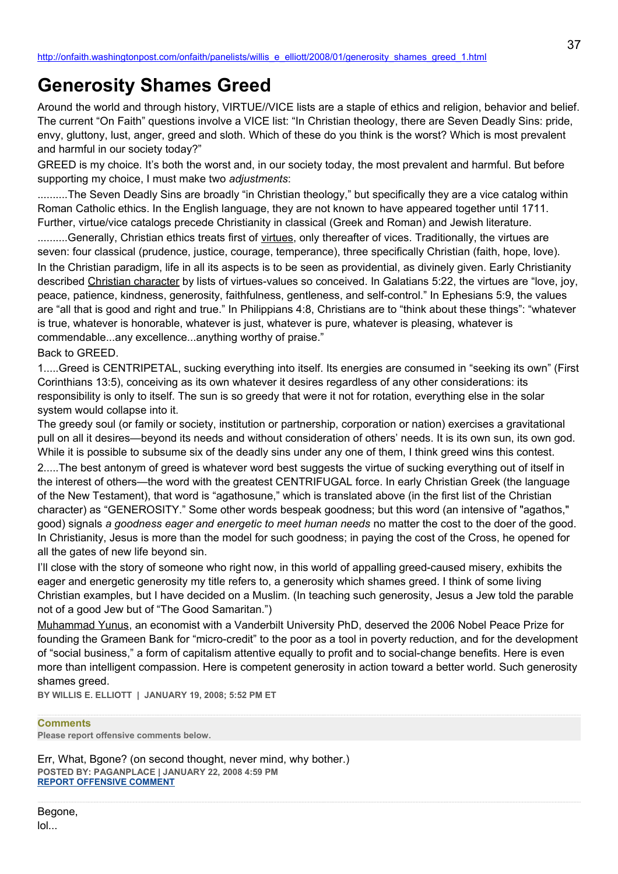# **Generosity Shames Greed**

Around the world and through history, VIRTUE//VICE lists are a staple of ethics and religion, behavior and belief. The current "On Faith" questions involve a VICE list: "In Christian theology, there are Seven Deadly Sins: pride, envy, gluttony, lust, anger, greed and sloth. Which of these do you think is the worst? Which is most prevalent and harmful in our society today?"

GREED is my choice. It's both the worst and, in our society today, the most prevalent and harmful. But before supporting my choice, I must make two *adjustments*:

..........The Seven Deadly Sins are broadly "in Christian theology," but specifically they are a vice catalog within Roman Catholic ethics. In the English language, they are not known to have appeared together until 1711. Further, virtue/vice catalogs precede Christianity in classical (Greek and Roman) and Jewish literature.

..........Generally, Christian ethics treats first of virtues, only thereafter of vices. Traditionally, the virtues are seven: four classical (prudence, justice, courage, temperance), three specifically Christian (faith, hope, love). In the Christian paradigm, life in all its aspects is to be seen as providential, as divinely given. Early Christianity described Christian character by lists of virtues-values so conceived. In Galatians 5:22, the virtues are "love, joy, peace, patience, kindness, generosity, faithfulness, gentleness, and self-control." In Ephesians 5:9, the values are "all that is good and right and true." In Philippians 4:8, Christians are to "think about these things": "whatever is true, whatever is honorable, whatever is just, whatever is pure, whatever is pleasing, whatever is commendable...any excellence...anything worthy of praise."

Back to GREED.

1.....Greed is CENTRIPETAL, sucking everything into itself. Its energies are consumed in "seeking its own" (First Corinthians 13:5), conceiving as its own whatever it desires regardless of any other considerations: its responsibility is only to itself. The sun is so greedy that were it not for rotation, everything else in the solar system would collapse into it.

The greedy soul (or family or society, institution or partnership, corporation or nation) exercises a gravitational pull on all it desires—beyond its needs and without consideration of others' needs. It is its own sun, its own god. While it is possible to subsume six of the deadly sins under any one of them, I think greed wins this contest. 2.....The best antonym of greed is whatever word best suggests the virtue of sucking everything out of itself in the interest of others—the word with the greatest CENTRIFUGAL force. In early Christian Greek (the language of the New Testament), that word is "agathosune," which is translated above (in the first list of the Christian character) as "GENEROSITY." Some other words bespeak goodness; but this word (an intensive of "agathos," good) signals *a goodness eager and energetic to meet human needs* no matter the cost to the doer of the good. In Christianity, Jesus is more than the model for such goodness; in paying the cost of the Cross, he opened for all the gates of new life beyond sin.

I'll close with the story of someone who right now, in this world of appalling greed-caused misery, exhibits the eager and energetic generosity my title refers to, a generosity which shames greed. I think of some living Christian examples, but I have decided on a Muslim. (In teaching such generosity, Jesus a Jew told the parable not of a good Jew but of "The Good Samaritan.")

Muhammad Yunus, an economist with a Vanderbilt University PhD, deserved the 2006 Nobel Peace Prize for founding the Grameen Bank for "micro-credit" to the poor as a tool in poverty reduction, and for the development of "social business," a form of capitalism attentive equally to profit and to social-change benefits. Here is even more than intelligent compassion. Here is competent generosity in action toward a better world. Such generosity shames greed.

**BY WILLIS E. ELLIOTT | JANUARY 19, 2008; 5:52 PM ET** 

### **Comments**

**Please report offensive comments below.**

Err, What, Bgone? (on second thought, never mind, why bother.) **POSTED BY: PAGANPLACE | JANUARY 22, 2008 4:59 PM [REPORT OFFENSIVE COMMENT](mailto:blogs@washingtonpost.com?subject=On%20Faith%20Panelists%20Blog%20%20%7C%20%20Paganplace%20%20%7C%20%20Generosity%20Shames%20Greed%20%20%7C%20%202235641&body=%0D%0D%0D%0D%0D================%0D?__mode=view%26_type=comment%26id=2235641%26blog_id=618)**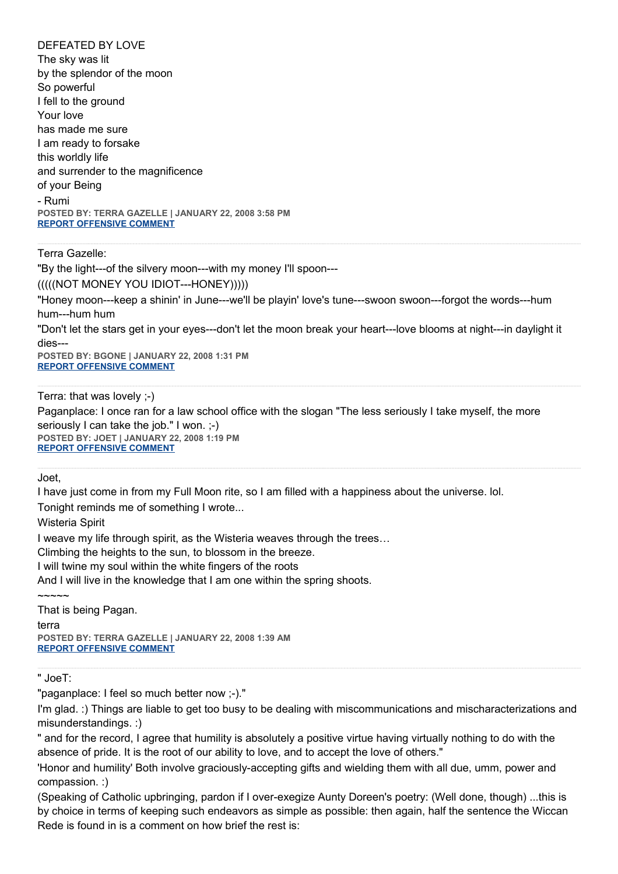DEFEATED BY LOVE The sky was lit by the splendor of the moon So powerful I fell to the ground Your love has made me sure I am ready to forsake this worldly life and surrender to the magnificence of your Being - Rumi **POSTED BY: TERRA GAZELLE | JANUARY 22, 2008 3:58 PM**

**[REPORT OFFENSIVE COMMENT](mailto:blogs@washingtonpost.com?subject=On%20Faith%20Panelists%20Blog%20%20%7C%20%20Terra%20Gazelle%20%20%7C%20%20Generosity%20Shames%20Greed%20%20%7C%20%202235290&body=%0D%0D%0D%0D%0D================%0D?__mode=view%26_type=comment%26id=2235290%26blog_id=618)**

#### Terra Gazelle:

"By the light---of the silvery moon---with my money I'll spoon---

(((((NOT MONEY YOU IDIOT---HONEY)))))

"Honey moon---keep a shinin' in June---we'll be playin' love's tune---swoon swoon---forgot the words---hum hum---hum hum

"Don't let the stars get in your eyes---don't let the moon break your heart---love blooms at night---in daylight it dies---

**POSTED BY: BGONE | JANUARY 22, 2008 1:31 PM [REPORT OFFENSIVE COMMENT](mailto:blogs@washingtonpost.com?subject=On%20Faith%20Panelists%20Blog%20%20%7C%20%20BGone%20%20%7C%20%20Generosity%20Shames%20Greed%20%20%7C%20%202234555&body=%0D%0D%0D%0D%0D================%0D?__mode=view%26_type=comment%26id=2234555%26blog_id=618)**

Terra: that was lovely ;-) Paganplace: I once ran for a law school office with the slogan "The less seriously I take myself, the more seriously I can take the job." I won. ;-) **POSTED BY: JOET | JANUARY 22, 2008 1:19 PM [REPORT OFFENSIVE COMMENT](mailto:blogs@washingtonpost.com?subject=On%20Faith%20Panelists%20Blog%20%20%7C%20%20Joet%20%20%7C%20%20Generosity%20Shames%20Greed%20%20%7C%20%202234504&body=%0D%0D%0D%0D%0D================%0D?__mode=view%26_type=comment%26id=2234504%26blog_id=618)**

Joet,

I have just come in from my Full Moon rite, so I am filled with a happiness about the universe. lol. Tonight reminds me of something I wrote...

Wisteria Spirit

I weave my life through spirit, as the Wisteria weaves through the trees…

Climbing the heights to the sun, to blossom in the breeze.

I will twine my soul within the white fingers of the roots

And I will live in the knowledge that I am one within the spring shoots.

That is being Pagan.

terra

 $\sim$  $\sim$  $\sim$  $\sim$ 

**POSTED BY: TERRA GAZELLE | JANUARY 22, 2008 1:39 AM [REPORT OFFENSIVE COMMENT](mailto:blogs@washingtonpost.com?subject=On%20Faith%20Panelists%20Blog%20%20%7C%20%20Terra%20Gazelle%20%20%7C%20%20Generosity%20Shames%20Greed%20%20%7C%20%202230841&body=%0D%0D%0D%0D%0D================%0D?__mode=view%26_type=comment%26id=2230841%26blog_id=618)**

### " JoeT:

"paganplace: I feel so much better now ;-)."

I'm glad. :) Things are liable to get too busy to be dealing with miscommunications and mischaracterizations and misunderstandings. :)

" and for the record, I agree that humility is absolutely a positive virtue having virtually nothing to do with the absence of pride. It is the root of our ability to love, and to accept the love of others."

'Honor and humility' Both involve graciously-accepting gifts and wielding them with all due, umm, power and compassion. :)

(Speaking of Catholic upbringing, pardon if I over-exegize Aunty Doreen's poetry: (Well done, though) ...this is by choice in terms of keeping such endeavors as simple as possible: then again, half the sentence the Wiccan Rede is found in is a comment on how brief the rest is: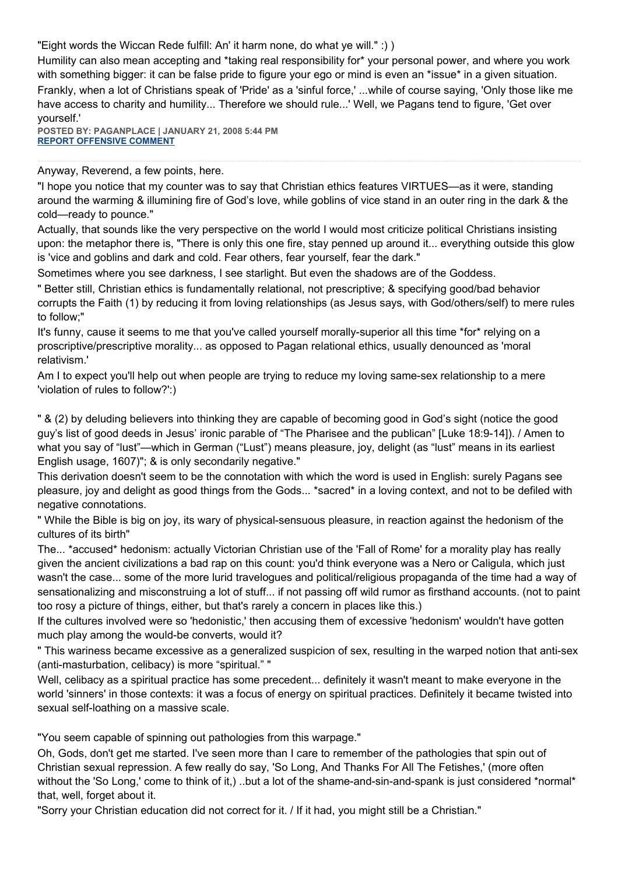"Eight words the Wiccan Rede fulfill: An' it harm none, do what ye will." :) )

Humility can also mean accepting and \*taking real responsibility for\* your personal power, and where you work with something bigger: it can be false pride to figure your ego or mind is even an \*issue\* in a given situation. Frankly, when a lot of Christians speak of 'Pride' as a 'sinful force,' ...while of course saying, 'Only those like me have access to charity and humility... Therefore we should rule...' Well, we Pagans tend to figure, 'Get over yourself.'

**POSTED BY: PAGANPLACE | JANUARY 21, 2008 5:44 PM [REPORT OFFENSIVE COMMENT](mailto:blogs@washingtonpost.com?subject=On%20Faith%20Panelists%20Blog%20%20%7C%20%20Paganplace%20%20%7C%20%20Generosity%20Shames%20Greed%20%20%7C%20%202228089&body=%0D%0D%0D%0D%0D================%0D?__mode=view%26_type=comment%26id=2228089%26blog_id=618)**

Anyway, Reverend, a few points, here.

"I hope you notice that my counter was to say that Christian ethics features VIRTUES—as it were, standing around the warming & illumining fire of God's love, while goblins of vice stand in an outer ring in the dark & the cold—ready to pounce."

Actually, that sounds like the very perspective on the world I would most criticize political Christians insisting upon: the metaphor there is, "There is only this one fire, stay penned up around it... everything outside this glow is 'vice and goblins and dark and cold. Fear others, fear yourself, fear the dark."

Sometimes where you see darkness, I see starlight. But even the shadows are of the Goddess.

" Better still, Christian ethics is fundamentally relational, not prescriptive; & specifying good/bad behavior corrupts the Faith (1) by reducing it from loving relationships (as Jesus says, with God/others/self) to mere rules to follow;"

It's funny, cause it seems to me that you've called yourself morally-superior all this time \*for\* relying on a proscriptive/prescriptive morality... as opposed to Pagan relational ethics, usually denounced as 'moral relativism.'

Am I to expect you'll help out when people are trying to reduce my loving same-sex relationship to a mere 'violation of rules to follow?':)

" & (2) by deluding believers into thinking they are capable of becoming good in God's sight (notice the good guy's list of good deeds in Jesus' ironic parable of "The Pharisee and the publican" [Luke 18:9-14]). / Amen to what you say of "lust"—which in German ("Lust") means pleasure, joy, delight (as "lust" means in its earliest English usage, 1607)"; & is only secondarily negative."

This derivation doesn't seem to be the connotation with which the word is used in English: surely Pagans see pleasure, joy and delight as good things from the Gods... \*sacred\* in a loving context, and not to be defiled with negative connotations.

" While the Bible is big on joy, its wary of physical-sensuous pleasure, in reaction against the hedonism of the cultures of its birth"

The... \*accused\* hedonism: actually Victorian Christian use of the 'Fall of Rome' for a morality play has really given the ancient civilizations a bad rap on this count: you'd think everyone was a Nero or Caligula, which just wasn't the case... some of the more lurid travelogues and political/religious propaganda of the time had a way of sensationalizing and misconstruing a lot of stuff... if not passing off wild rumor as firsthand accounts. (not to paint too rosy a picture of things, either, but that's rarely a concern in places like this.)

If the cultures involved were so 'hedonistic,' then accusing them of excessive 'hedonism' wouldn't have gotten much play among the would-be converts, would it?

" This wariness became excessive as a generalized suspicion of sex, resulting in the warped notion that anti-sex (anti-masturbation, celibacy) is more "spiritual." "

Well, celibacy as a spiritual practice has some precedent... definitely it wasn't meant to make everyone in the world 'sinners' in those contexts: it was a focus of energy on spiritual practices. Definitely it became twisted into sexual self-loathing on a massive scale.

"You seem capable of spinning out pathologies from this warpage."

Oh, Gods, don't get me started. I've seen more than I care to remember of the pathologies that spin out of Christian sexual repression. A few really do say, 'So Long, And Thanks For All The Fetishes,' (more often without the 'So Long,' come to think of it,) ..but a lot of the shame-and-sin-and-spank is just considered \*normal\* that, well, forget about it.

"Sorry your Christian education did not correct for it. / If it had, you might still be a Christian."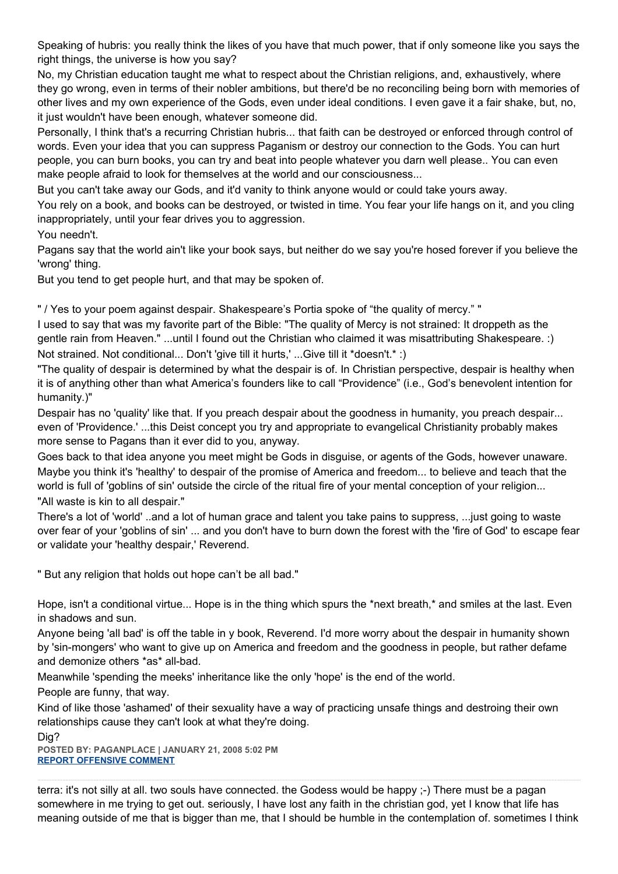Speaking of hubris: you really think the likes of you have that much power, that if only someone like you says the right things, the universe is how you say?

No, my Christian education taught me what to respect about the Christian religions, and, exhaustively, where they go wrong, even in terms of their nobler ambitions, but there'd be no reconciling being born with memories of other lives and my own experience of the Gods, even under ideal conditions. I even gave it a fair shake, but, no, it just wouldn't have been enough, whatever someone did.

Personally, I think that's a recurring Christian hubris... that faith can be destroyed or enforced through control of words. Even your idea that you can suppress Paganism or destroy our connection to the Gods. You can hurt people, you can burn books, you can try and beat into people whatever you darn well please.. You can even make people afraid to look for themselves at the world and our consciousness...

But you can't take away our Gods, and it'd vanity to think anyone would or could take yours away.

You rely on a book, and books can be destroyed, or twisted in time. You fear your life hangs on it, and you cling inappropriately, until your fear drives you to aggression.

You needn't.

Pagans say that the world ain't like your book says, but neither do we say you're hosed forever if you believe the 'wrong' thing.

But you tend to get people hurt, and that may be spoken of.

" / Yes to your poem against despair. Shakespeare's Portia spoke of "the quality of mercy." "

I used to say that was my favorite part of the Bible: "The quality of Mercy is not strained: It droppeth as the gentle rain from Heaven." ...until I found out the Christian who claimed it was misattributing Shakespeare. :) Not strained. Not conditional... Don't 'give till it hurts,' ...Give till it \*doesn't.\* :)

"The quality of despair is determined by what the despair is of. In Christian perspective, despair is healthy when it is of anything other than what America's founders like to call "Providence" (i.e., God's benevolent intention for humanity.)"

Despair has no 'quality' like that. If you preach despair about the goodness in humanity, you preach despair... even of 'Providence.' ...this Deist concept you try and appropriate to evangelical Christianity probably makes more sense to Pagans than it ever did to you, anyway.

Goes back to that idea anyone you meet might be Gods in disguise, or agents of the Gods, however unaware. Maybe you think it's 'healthy' to despair of the promise of America and freedom... to believe and teach that the world is full of 'goblins of sin' outside the circle of the ritual fire of your mental conception of your religion... "All waste is kin to all despair."

There's a lot of 'world' ..and a lot of human grace and talent you take pains to suppress, ...just going to waste over fear of your 'goblins of sin' ... and you don't have to burn down the forest with the 'fire of God' to escape fear or validate your 'healthy despair,' Reverend.

" But any religion that holds out hope can't be all bad."

Hope, isn't a conditional virtue... Hope is in the thing which spurs the \*next breath,\* and smiles at the last. Even in shadows and sun.

Anyone being 'all bad' is off the table in y book, Reverend. I'd more worry about the despair in humanity shown by 'sin-mongers' who want to give up on America and freedom and the goodness in people, but rather defame and demonize others \*as\* all-bad.

Meanwhile 'spending the meeks' inheritance like the only 'hope' is the end of the world.

People are funny, that way.

Kind of like those 'ashamed' of their sexuality have a way of practicing unsafe things and destroing their own relationships cause they can't look at what they're doing.

Dig?

**POSTED BY: PAGANPLACE | JANUARY 21, 2008 5:02 PM [REPORT OFFENSIVE COMMENT](mailto:blogs@washingtonpost.com?subject=On%20Faith%20Panelists%20Blog%20%20%7C%20%20Paganplace%20%20%7C%20%20Generosity%20Shames%20Greed%20%20%7C%20%202227886&body=%0D%0D%0D%0D%0D================%0D?__mode=view%26_type=comment%26id=2227886%26blog_id=618)**

terra: it's not silly at all. two souls have connected. the Godess would be happy ;-) There must be a pagan somewhere in me trying to get out. seriously, I have lost any faith in the christian god, yet I know that life has meaning outside of me that is bigger than me, that I should be humble in the contemplation of. sometimes I think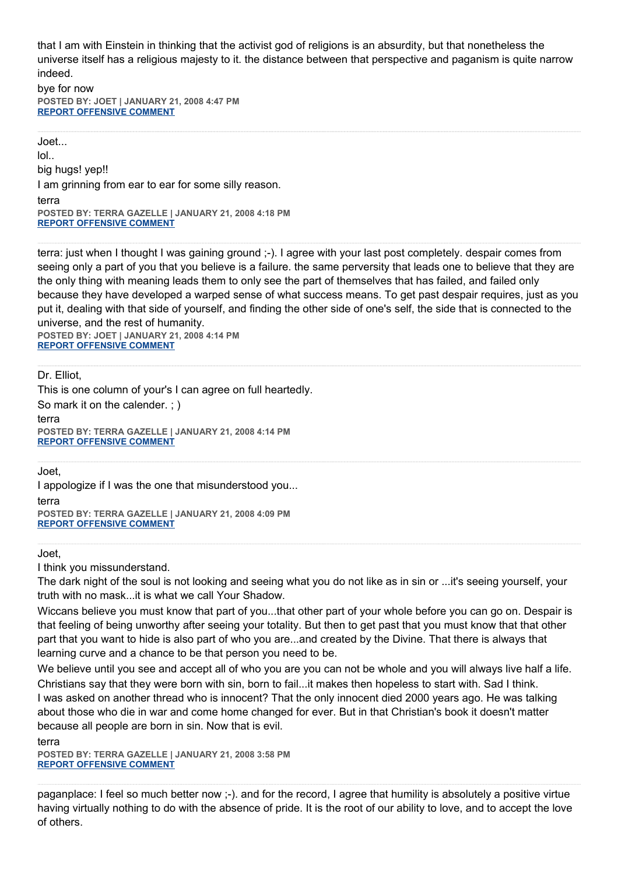that I am with Einstein in thinking that the activist god of religions is an absurdity, but that nonetheless the universe itself has a religious majesty to it. the distance between that perspective and paganism is quite narrow indeed.

bye for now **POSTED BY: JOET | JANUARY 21, 2008 4:47 PM [REPORT OFFENSIVE COMMENT](mailto:blogs@washingtonpost.com?subject=On%20Faith%20Panelists%20Blog%20%20%7C%20%20joet%20%20%7C%20%20Generosity%20Shames%20Greed%20%20%7C%20%202227781&body=%0D%0D%0D%0D%0D================%0D?__mode=view%26_type=comment%26id=2227781%26blog_id=618)**

Joet... lol.. big hugs! yep!! I am grinning from ear to ear for some silly reason. terra **POSTED BY: TERRA GAZELLE | JANUARY 21, 2008 4:18 PM [REPORT OFFENSIVE COMMENT](mailto:blogs@washingtonpost.com?subject=On%20Faith%20Panelists%20Blog%20%20%7C%20%20Terra%20Gazelle%20%20%7C%20%20Generosity%20Shames%20Greed%20%20%7C%20%202227636&body=%0D%0D%0D%0D%0D================%0D?__mode=view%26_type=comment%26id=2227636%26blog_id=618)**

terra: just when I thought I was gaining ground ;-). I agree with your last post completely. despair comes from seeing only a part of you that you believe is a failure. the same perversity that leads one to believe that they are the only thing with meaning leads them to only see the part of themselves that has failed, and failed only because they have developed a warped sense of what success means. To get past despair requires, just as you put it, dealing with that side of yourself, and finding the other side of one's self, the side that is connected to the universe, and the rest of humanity.

**POSTED BY: JOET | JANUARY 21, 2008 4:14 PM [REPORT OFFENSIVE COMMENT](mailto:blogs@washingtonpost.com?subject=On%20Faith%20Panelists%20Blog%20%20%7C%20%20joet%20%20%7C%20%20Generosity%20Shames%20Greed%20%20%7C%20%202227621&body=%0D%0D%0D%0D%0D================%0D?__mode=view%26_type=comment%26id=2227621%26blog_id=618)**

Dr. Elliot,

This is one column of your's I can agree on full heartedly.

So mark it on the calender. ; ) terra **POSTED BY: TERRA GAZELLE | JANUARY 21, 2008 4:14 PM [REPORT OFFENSIVE COMMENT](mailto:blogs@washingtonpost.com?subject=On%20Faith%20Panelists%20Blog%20%20%7C%20%20Terra%20Gazelle%20%20%7C%20%20Generosity%20Shames%20Greed%20%20%7C%20%202227619&body=%0D%0D%0D%0D%0D================%0D?__mode=view%26_type=comment%26id=2227619%26blog_id=618)**

Joet,

I appologize if I was the one that misunderstood you...

terra

**POSTED BY: TERRA GAZELLE | JANUARY 21, 2008 4:09 PM [REPORT OFFENSIVE COMMENT](mailto:blogs@washingtonpost.com?subject=On%20Faith%20Panelists%20Blog%20%20%7C%20%20Terra%20Gazelle%20%20%7C%20%20Generosity%20Shames%20Greed%20%20%7C%20%202227602&body=%0D%0D%0D%0D%0D================%0D?__mode=view%26_type=comment%26id=2227602%26blog_id=618)**

Joet,

I think you missunderstand.

The dark night of the soul is not looking and seeing what you do not like as in sin or ...it's seeing yourself, your truth with no mask...it is what we call Your Shadow.

Wiccans believe you must know that part of you...that other part of your whole before you can go on. Despair is that feeling of being unworthy after seeing your totality. But then to get past that you must know that that other part that you want to hide is also part of who you are...and created by the Divine. That there is always that learning curve and a chance to be that person you need to be.

We believe until you see and accept all of who you are you can not be whole and you will always live half a life. Christians say that they were born with sin, born to fail...it makes then hopeless to start with. Sad I think. I was asked on another thread who is innocent? That the only innocent died 2000 years ago. He was talking about those who die in war and come home changed for ever. But in that Christian's book it doesn't matter because all people are born in sin. Now that is evil.

terra

**POSTED BY: TERRA GAZELLE | JANUARY 21, 2008 3:58 PM [REPORT OFFENSIVE COMMENT](mailto:blogs@washingtonpost.com?subject=On%20Faith%20Panelists%20Blog%20%20%7C%20%20Terra%20Gazelle%20%20%7C%20%20Generosity%20Shames%20Greed%20%20%7C%20%202227544&body=%0D%0D%0D%0D%0D================%0D?__mode=view%26_type=comment%26id=2227544%26blog_id=618)**

paganplace: I feel so much better now ;-). and for the record, I agree that humility is absolutely a positive virtue having virtually nothing to do with the absence of pride. It is the root of our ability to love, and to accept the love of others.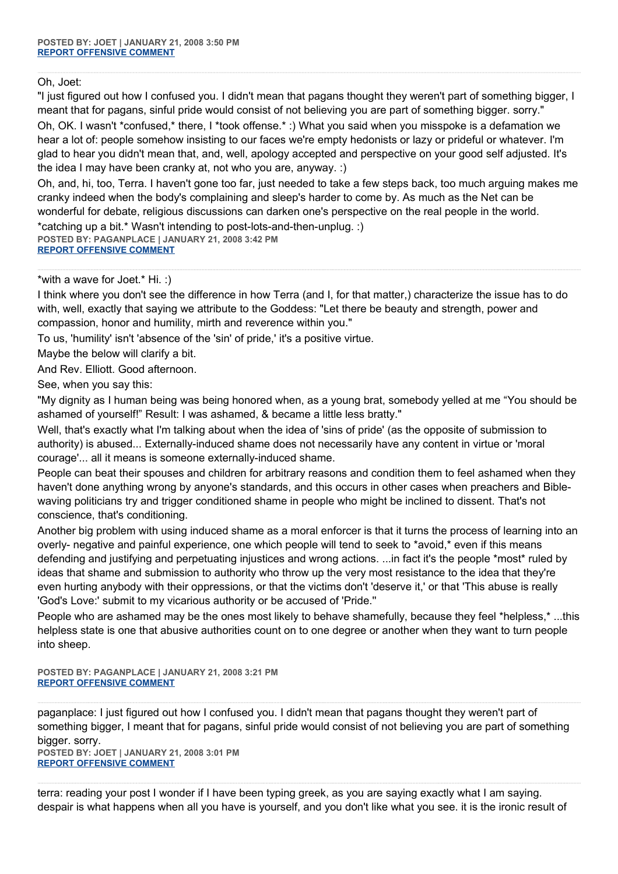Oh, Joet:

"I just figured out how I confused you. I didn't mean that pagans thought they weren't part of something bigger, I meant that for pagans, sinful pride would consist of not believing you are part of something bigger. sorry." Oh, OK. I wasn't \*confused,\* there, I \*took offense.\* :) What you said when you misspoke is a defamation we hear a lot of: people somehow insisting to our faces we're empty hedonists or lazy or prideful or whatever. I'm glad to hear you didn't mean that, and, well, apology accepted and perspective on your good self adjusted. It's the idea I may have been cranky at, not who you are, anyway. :)

Oh, and, hi, too, Terra. I haven't gone too far, just needed to take a few steps back, too much arguing makes me cranky indeed when the body's complaining and sleep's harder to come by. As much as the Net can be wonderful for debate, religious discussions can darken one's perspective on the real people in the world.

\*catching up a bit.\* Wasn't intending to post-lots-and-then-unplug. :) **POSTED BY: PAGANPLACE | JANUARY 21, 2008 3:42 PM [REPORT OFFENSIVE COMMENT](mailto:blogs@washingtonpost.com?subject=On%20Faith%20Panelists%20Blog%20%20%7C%20%20Paganplace%20%20%7C%20%20Generosity%20Shames%20Greed%20%20%7C%20%202227449&body=%0D%0D%0D%0D%0D================%0D?__mode=view%26_type=comment%26id=2227449%26blog_id=618)**

\*with a wave for Joet.\* Hi. :)

I think where you don't see the difference in how Terra (and I, for that matter,) characterize the issue has to do with, well, exactly that saying we attribute to the Goddess: "Let there be beauty and strength, power and compassion, honor and humility, mirth and reverence within you."

To us, 'humility' isn't 'absence of the 'sin' of pride,' it's a positive virtue.

Maybe the below will clarify a bit.

And Rev. Elliott. Good afternoon.

See, when you say this:

"My dignity as I human being was being honored when, as a young brat, somebody yelled at me "You should be ashamed of yourself!" Result: I was ashamed, & became a little less bratty."

Well, that's exactly what I'm talking about when the idea of 'sins of pride' (as the opposite of submission to authority) is abused... Externally-induced shame does not necessarily have any content in virtue or 'moral courage'... all it means is someone externally-induced shame.

People can beat their spouses and children for arbitrary reasons and condition them to feel ashamed when they haven't done anything wrong by anyone's standards, and this occurs in other cases when preachers and Biblewaving politicians try and trigger conditioned shame in people who might be inclined to dissent. That's not conscience, that's conditioning.

Another big problem with using induced shame as a moral enforcer is that it turns the process of learning into an overly- negative and painful experience, one which people will tend to seek to \*avoid,\* even if this means defending and justifying and perpetuating injustices and wrong actions. ...in fact it's the people \*most\* ruled by ideas that shame and submission to authority who throw up the very most resistance to the idea that they're even hurting anybody with their oppressions, or that the victims don't 'deserve it,' or that 'This abuse is really 'God's Love:' submit to my vicarious authority or be accused of 'Pride.''

People who are ashamed may be the ones most likely to behave shamefully, because they feel \*helpless,\* ...this helpless state is one that abusive authorities count on to one degree or another when they want to turn people into sheep.

**POSTED BY: PAGANPLACE | JANUARY 21, 2008 3:21 PM [REPORT OFFENSIVE COMMENT](mailto:blogs@washingtonpost.com?subject=On%20Faith%20Panelists%20Blog%20%20%7C%20%20Paganplace%20%20%7C%20%20Generosity%20Shames%20Greed%20%20%7C%20%202227338&body=%0D%0D%0D%0D%0D================%0D?__mode=view%26_type=comment%26id=2227338%26blog_id=618)**

paganplace: I just figured out how I confused you. I didn't mean that pagans thought they weren't part of something bigger, I meant that for pagans, sinful pride would consist of not believing you are part of something bigger. sorry.

**POSTED BY: JOET | JANUARY 21, 2008 3:01 PM [REPORT OFFENSIVE COMMENT](mailto:blogs@washingtonpost.com?subject=On%20Faith%20Panelists%20Blog%20%20%7C%20%20joet%20%20%7C%20%20Generosity%20Shames%20Greed%20%20%7C%20%202227246&body=%0D%0D%0D%0D%0D================%0D?__mode=view%26_type=comment%26id=2227246%26blog_id=618)**

terra: reading your post I wonder if I have been typing greek, as you are saying exactly what I am saying. despair is what happens when all you have is yourself, and you don't like what you see. it is the ironic result of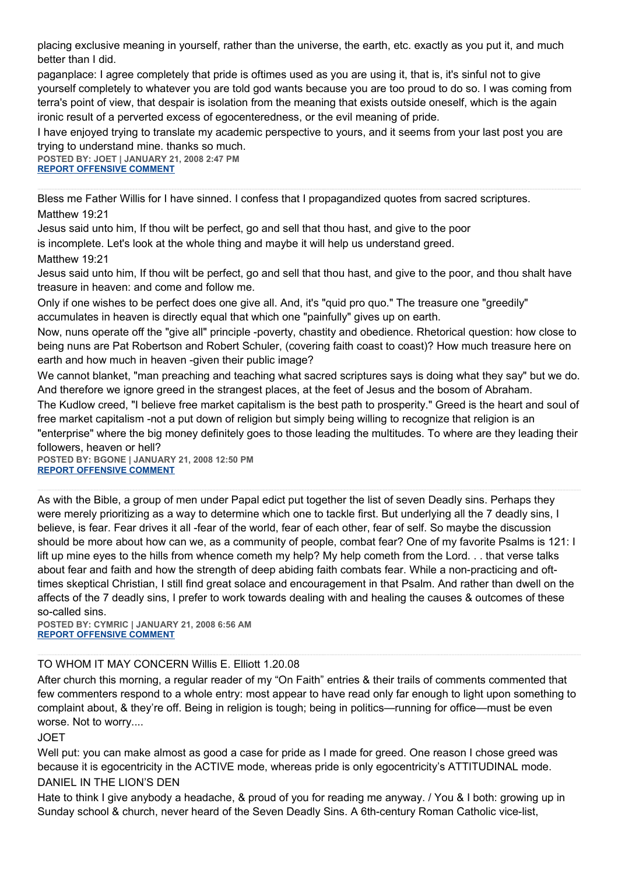placing exclusive meaning in yourself, rather than the universe, the earth, etc. exactly as you put it, and much better than I did.

paganplace: I agree completely that pride is oftimes used as you are using it, that is, it's sinful not to give yourself completely to whatever you are told god wants because you are too proud to do so. I was coming from terra's point of view, that despair is isolation from the meaning that exists outside oneself, which is the again ironic result of a perverted excess of egocenteredness, or the evil meaning of pride.

I have enjoyed trying to translate my academic perspective to yours, and it seems from your last post you are trying to understand mine. thanks so much.

**POSTED BY: JOET | JANUARY 21, 2008 2:47 PM [REPORT OFFENSIVE COMMENT](mailto:blogs@washingtonpost.com?subject=On%20Faith%20Panelists%20Blog%20%20%7C%20%20JoeT%20%20%7C%20%20Generosity%20Shames%20Greed%20%20%7C%20%202227189&body=%0D%0D%0D%0D%0D================%0D?__mode=view%26_type=comment%26id=2227189%26blog_id=618)**

Bless me Father Willis for I have sinned. I confess that I propagandized quotes from sacred scriptures. Matthew 19:21

Jesus said unto him, If thou wilt be perfect, go and sell that thou hast, and give to the poor

is incomplete. Let's look at the whole thing and maybe it will help us understand greed.

## Matthew 19:21

Jesus said unto him, If thou wilt be perfect, go and sell that thou hast, and give to the poor, and thou shalt have treasure in heaven: and come and follow me.

Only if one wishes to be perfect does one give all. And, it's "quid pro quo." The treasure one "greedily" accumulates in heaven is directly equal that which one "painfully" gives up on earth.

Now, nuns operate off the "give all" principle -poverty, chastity and obedience. Rhetorical question: how close to being nuns are Pat Robertson and Robert Schuler, (covering faith coast to coast)? How much treasure here on earth and how much in heaven -given their public image?

We cannot blanket, "man preaching and teaching what sacred scriptures says is doing what they say" but we do. And therefore we ignore greed in the strangest places, at the feet of Jesus and the bosom of Abraham.

The Kudlow creed, "I believe free market capitalism is the best path to prosperity." Greed is the heart and soul of free market capitalism -not a put down of religion but simply being willing to recognize that religion is an

"enterprise" where the big money definitely goes to those leading the multitudes. To where are they leading their followers, heaven or hell?

**POSTED BY: BGONE | JANUARY 21, 2008 12:50 PM [REPORT OFFENSIVE COMMENT](mailto:blogs@washingtonpost.com?subject=On%20Faith%20Panelists%20Blog%20%20%7C%20%20BGone%20%20%7C%20%20Generosity%20Shames%20Greed%20%20%7C%20%202226706&body=%0D%0D%0D%0D%0D================%0D?__mode=view%26_type=comment%26id=2226706%26blog_id=618)**

As with the Bible, a group of men under Papal edict put together the list of seven Deadly sins. Perhaps they were merely prioritizing as a way to determine which one to tackle first. But underlying all the 7 deadly sins, I believe, is fear. Fear drives it all -fear of the world, fear of each other, fear of self. So maybe the discussion should be more about how can we, as a community of people, combat fear? One of my favorite Psalms is 121: I lift up mine eyes to the hills from whence cometh my help? My help cometh from the Lord. . . that verse talks about fear and faith and how the strength of deep abiding faith combats fear. While a non-practicing and ofttimes skeptical Christian, I still find great solace and encouragement in that Psalm. And rather than dwell on the affects of the 7 deadly sins, I prefer to work towards dealing with and healing the causes & outcomes of these so-called sins.

**POSTED BY: CYMRIC | JANUARY 21, 2008 6:56 AM [REPORT OFFENSIVE COMMENT](mailto:blogs@washingtonpost.com?subject=On%20Faith%20Panelists%20Blog%20%20%7C%20%20Cymric%20%20%7C%20%20Generosity%20Shames%20Greed%20%20%7C%20%202225019&body=%0D%0D%0D%0D%0D================%0D?__mode=view%26_type=comment%26id=2225019%26blog_id=618)**

## TO WHOM IT MAY CONCERN Willis E. Elliott 1.20.08

After church this morning, a regular reader of my "On Faith" entries & their trails of comments commented that few commenters respond to a whole entry: most appear to have read only far enough to light upon something to complaint about, & they're off. Being in religion is tough; being in politics—running for office—must be even worse. Not to worry....

JOET

Well put: you can make almost as good a case for pride as I made for greed. One reason I chose greed was because it is egocentricity in the ACTIVE mode, whereas pride is only egocentricity's ATTITUDINAL mode. DANIEL IN THE LION'S DEN

Hate to think I give anybody a headache, & proud of you for reading me anyway. / You & I both: growing up in Sunday school & church, never heard of the Seven Deadly Sins. A 6th-century Roman Catholic vice-list,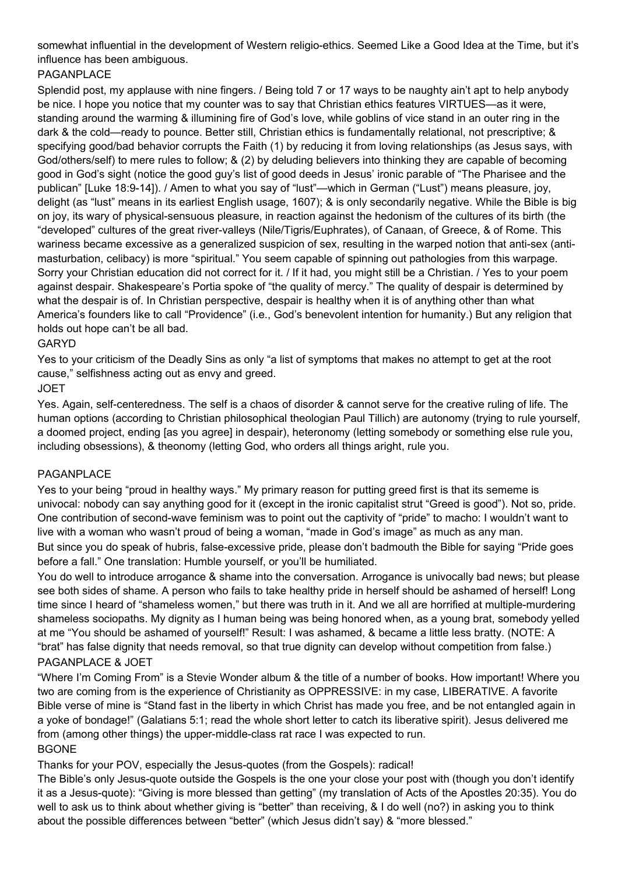somewhat influential in the development of Western religio-ethics. Seemed Like a Good Idea at the Time, but it's influence has been ambiguous.

# PAGANPLACE

Splendid post, my applause with nine fingers. / Being told 7 or 17 ways to be naughty ain't apt to help anybody be nice. I hope you notice that my counter was to say that Christian ethics features VIRTUES—as it were, standing around the warming & illumining fire of God's love, while goblins of vice stand in an outer ring in the dark & the cold—ready to pounce. Better still, Christian ethics is fundamentally relational, not prescriptive; & specifying good/bad behavior corrupts the Faith (1) by reducing it from loving relationships (as Jesus says, with God/others/self) to mere rules to follow; & (2) by deluding believers into thinking they are capable of becoming good in God's sight (notice the good guy's list of good deeds in Jesus' ironic parable of "The Pharisee and the publican" [Luke 18:9-14]). / Amen to what you say of "lust"—which in German ("Lust") means pleasure, joy, delight (as "lust" means in its earliest English usage, 1607); & is only secondarily negative. While the Bible is big on joy, its wary of physical-sensuous pleasure, in reaction against the hedonism of the cultures of its birth (the "developed" cultures of the great river-valleys (Nile/Tigris/Euphrates), of Canaan, of Greece, & of Rome. This wariness became excessive as a generalized suspicion of sex, resulting in the warped notion that anti-sex (antimasturbation, celibacy) is more "spiritual." You seem capable of spinning out pathologies from this warpage. Sorry your Christian education did not correct for it. / If it had, you might still be a Christian. / Yes to your poem against despair. Shakespeare's Portia spoke of "the quality of mercy." The quality of despair is determined by what the despair is of. In Christian perspective, despair is healthy when it is of anything other than what America's founders like to call "Providence" (i.e., God's benevolent intention for humanity.) But any religion that holds out hope can't be all bad.

# GARYD

Yes to your criticism of the Deadly Sins as only "a list of symptoms that makes no attempt to get at the root cause," selfishness acting out as envy and greed.

# JOET

Yes. Again, self-centeredness. The self is a chaos of disorder & cannot serve for the creative ruling of life. The human options (according to Christian philosophical theologian Paul Tillich) are autonomy (trying to rule yourself, a doomed project, ending [as you agree] in despair), heteronomy (letting somebody or something else rule you, including obsessions), & theonomy (letting God, who orders all things aright, rule you.

# PAGANPLACE

Yes to your being "proud in healthy ways." My primary reason for putting greed first is that its sememe is univocal: nobody can say anything good for it (except in the ironic capitalist strut "Greed is good"). Not so, pride. One contribution of second-wave feminism was to point out the captivity of "pride" to macho: I wouldn't want to live with a woman who wasn't proud of being a woman, "made in God's image" as much as any man.

But since you do speak of hubris, false-excessive pride, please don't badmouth the Bible for saying "Pride goes before a fall." One translation: Humble yourself, or you'll be humiliated.

You do well to introduce arrogance & shame into the conversation. Arrogance is univocally bad news; but please see both sides of shame. A person who fails to take healthy pride in herself should be ashamed of herself! Long time since I heard of "shameless women," but there was truth in it. And we all are horrified at multiple-murdering shameless sociopaths. My dignity as I human being was being honored when, as a young brat, somebody yelled at me "You should be ashamed of yourself!" Result: I was ashamed, & became a little less bratty. (NOTE: A "brat" has false dignity that needs removal, so that true dignity can develop without competition from false.) PAGANPLACE & JOET

"Where I'm Coming From" is a Stevie Wonder album & the title of a number of books. How important! Where you two are coming from is the experience of Christianity as OPPRESSIVE: in my case, LIBERATIVE. A favorite Bible verse of mine is "Stand fast in the liberty in which Christ has made you free, and be not entangled again in a yoke of bondage!" (Galatians 5:1; read the whole short letter to catch its liberative spirit). Jesus delivered me from (among other things) the upper-middle-class rat race I was expected to run. BGONE

Thanks for your POV, especially the Jesus-quotes (from the Gospels): radical!

The Bible's only Jesus-quote outside the Gospels is the one your close your post with (though you don't identify it as a Jesus-quote): "Giving is more blessed than getting" (my translation of Acts of the Apostles 20:35). You do well to ask us to think about whether giving is "better" than receiving, & I do well (no?) in asking you to think about the possible differences between "better" (which Jesus didn't say) & "more blessed."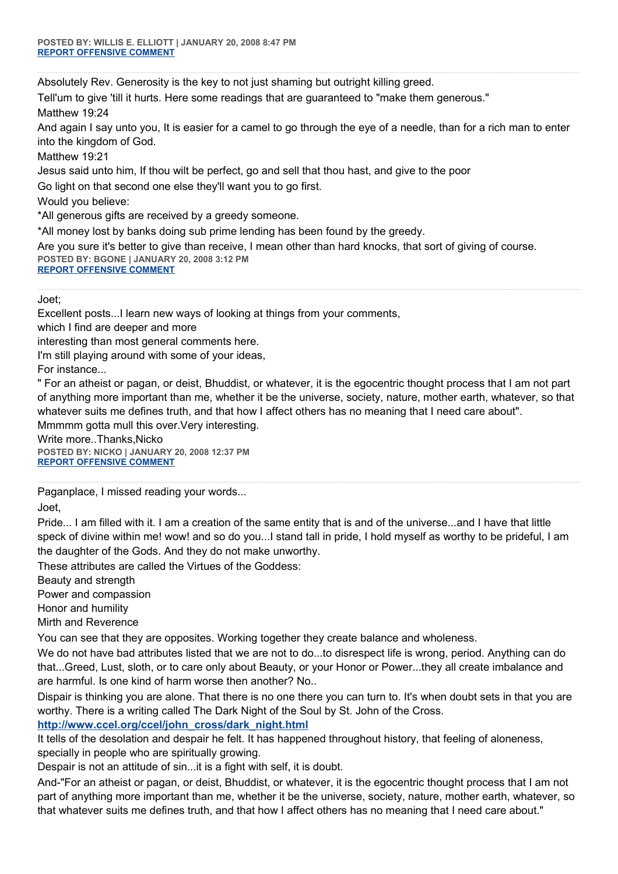Absolutely Rev. Generosity is the key to not just shaming but outright killing greed.

Tell'um to give 'till it hurts. Here some readings that are guaranteed to "make them generous."

Matthew 19:24

And again I say unto you, It is easier for a camel to go through the eye of a needle, than for a rich man to enter into the kingdom of God.

Matthew 19:21

Jesus said unto him, If thou wilt be perfect, go and sell that thou hast, and give to the poor

Go light on that second one else they'll want you to go first.

Would you believe:

\*All generous gifts are received by a greedy someone.

\*All money lost by banks doing sub prime lending has been found by the greedy.

Are you sure it's better to give than receive, I mean other than hard knocks, that sort of giving of course.

**POSTED BY: BGONE | JANUARY 20, 2008 3:12 PM [REPORT OFFENSIVE COMMENT](mailto:blogs@washingtonpost.com?subject=On%20Faith%20Panelists%20Blog%20%20%7C%20%20BGone%20%20%7C%20%20Generosity%20Shames%20Greed%20%20%7C%20%202221140&body=%0D%0D%0D%0D%0D================%0D?__mode=view%26_type=comment%26id=2221140%26blog_id=618)**

Joet;

Excellent posts...I learn new ways of looking at things from your comments,

which I find are deeper and more

interesting than most general comments here.

I'm still playing around with some of your ideas,

For instance...

" For an atheist or pagan, or deist, Bhuddist, or whatever, it is the egocentric thought process that I am not part of anything more important than me, whether it be the universe, society, nature, mother earth, whatever, so that whatever suits me defines truth, and that how I affect others has no meaning that I need care about". Mmmmm gotta mull this over.Very interesting.

Write more..Thanks,Nicko

**POSTED BY: NICKO | JANUARY 20, 2008 12:37 PM [REPORT OFFENSIVE COMMENT](mailto:blogs@washingtonpost.com?subject=On%20Faith%20Panelists%20Blog%20%20%7C%20%20Nicko%20%20%7C%20%20Generosity%20Shames%20Greed%20%20%7C%20%202220614&body=%0D%0D%0D%0D%0D================%0D?__mode=view%26_type=comment%26id=2220614%26blog_id=618)**

Paganplace, I missed reading your words...

Joet,

Pride... I am filled with it. I am a creation of the same entity that is and of the universe...and I have that little speck of divine within me! wow! and so do you...I stand tall in pride, I hold myself as worthy to be prideful, I am the daughter of the Gods. And they do not make unworthy.

These attributes are called the Virtues of the Goddess:

Beauty and strength

Power and compassion

Honor and humility

Mirth and Reverence

You can see that they are opposites. Working together they create balance and wholeness.

We do not have bad attributes listed that we are not to do...to disrespect life is wrong, period. Anything can do that...Greed, Lust, sloth, or to care only about Beauty, or your Honor or Power...they all create imbalance and are harmful. Is one kind of harm worse then another? No..

Dispair is thinking you are alone. That there is no one there you can turn to. It's when doubt sets in that you are worthy. There is a writing called The Dark Night of the Soul by St. John of the Cross.

**[http://www.ccel.org/ccel/john\\_cross/dark\\_night.html](http://www.ccel.org/ccel/john_cross/dark_night.html)**

It tells of the desolation and despair he felt. It has happened throughout history, that feeling of aloneness, specially in people who are spiritually growing.

Despair is not an attitude of sin...it is a fight with self, it is doubt.

And-"For an atheist or pagan, or deist, Bhuddist, or whatever, it is the egocentric thought process that I am not part of anything more important than me, whether it be the universe, society, nature, mother earth, whatever, so that whatever suits me defines truth, and that how I affect others has no meaning that I need care about."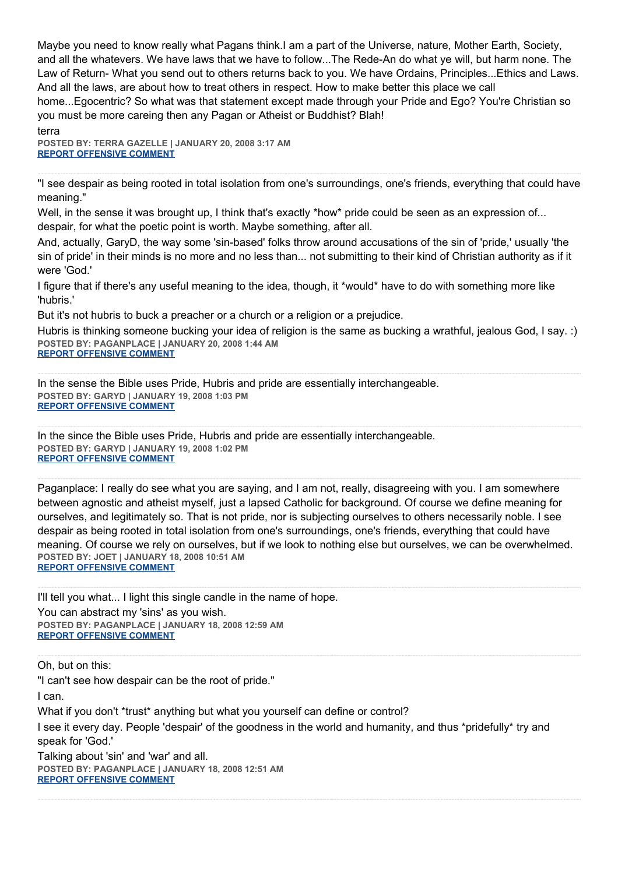Maybe you need to know really what Pagans think.I am a part of the Universe, nature, Mother Earth, Society, and all the whatevers. We have laws that we have to follow...The Rede-An do what ye will, but harm none. The Law of Return- What you send out to others returns back to you. We have Ordains, Principles...Ethics and Laws. And all the laws, are about how to treat others in respect. How to make better this place we call

home...Egocentric? So what was that statement except made through your Pride and Ego? You're Christian so you must be more careing then any Pagan or Atheist or Buddhist? Blah!

terra

**POSTED BY: TERRA GAZELLE | JANUARY 20, 2008 3:17 AM [REPORT OFFENSIVE COMMENT](mailto:blogs@washingtonpost.com?subject=On%20Faith%20Panelists%20Blog%20%20%7C%20%20Terra%20Gazelle%20%20%7C%20%20Generosity%20Shames%20Greed%20%20%7C%20%202217651&body=%0D%0D%0D%0D%0D================%0D?__mode=view%26_type=comment%26id=2217651%26blog_id=618)**

"I see despair as being rooted in total isolation from one's surroundings, one's friends, everything that could have meaning."

Well, in the sense it was brought up. I think that's exactly \*how\* pride could be seen as an expression of... despair, for what the poetic point is worth. Maybe something, after all.

And, actually, GaryD, the way some 'sin-based' folks throw around accusations of the sin of 'pride,' usually 'the sin of pride' in their minds is no more and no less than... not submitting to their kind of Christian authority as if it were 'God.'

I figure that if there's any useful meaning to the idea, though, it \*would\* have to do with something more like 'hubris.'

But it's not hubris to buck a preacher or a church or a religion or a prejudice.

Hubris is thinking someone bucking your idea of religion is the same as bucking a wrathful, jealous God, I say. :) **POSTED BY: PAGANPLACE | JANUARY 20, 2008 1:44 AM [REPORT OFFENSIVE COMMENT](mailto:blogs@washingtonpost.com?subject=On%20Faith%20Panelists%20Blog%20%20%7C%20%20Paganplace%20%20%7C%20%20Generosity%20Shames%20Greed%20%20%7C%20%202217292&body=%0D%0D%0D%0D%0D================%0D?__mode=view%26_type=comment%26id=2217292%26blog_id=618)**

In the sense the Bible uses Pride, Hubris and pride are essentially interchangeable. **POSTED BY: GARYD | JANUARY 19, 2008 1:03 PM [REPORT OFFENSIVE COMMENT](mailto:blogs@washingtonpost.com?subject=On%20Faith%20Panelists%20Blog%20%20%7C%20%20Garyd%20%20%7C%20%20Generosity%20Shames%20Greed%20%20%7C%20%202212942&body=%0D%0D%0D%0D%0D================%0D?__mode=view%26_type=comment%26id=2212942%26blog_id=618)**

In the since the Bible uses Pride, Hubris and pride are essentially interchangeable. **POSTED BY: GARYD | JANUARY 19, 2008 1:02 PM [REPORT OFFENSIVE COMMENT](mailto:blogs@washingtonpost.com?subject=On%20Faith%20Panelists%20Blog%20%20%7C%20%20Garyd%20%20%7C%20%20Generosity%20Shames%20Greed%20%20%7C%20%202212939&body=%0D%0D%0D%0D%0D================%0D?__mode=view%26_type=comment%26id=2212939%26blog_id=618)**

Paganplace: I really do see what you are saying, and I am not, really, disagreeing with you. I am somewhere between agnostic and atheist myself, just a lapsed Catholic for background. Of course we define meaning for ourselves, and legitimately so. That is not pride, nor is subjecting ourselves to others necessarily noble. I see despair as being rooted in total isolation from one's surroundings, one's friends, everything that could have meaning. Of course we rely on ourselves, but if we look to nothing else but ourselves, we can be overwhelmed. **POSTED BY: JOET | JANUARY 18, 2008 10:51 AM [REPORT OFFENSIVE COMMENT](mailto:blogs@washingtonpost.com?subject=On%20Faith%20Panelists%20Blog%20%20%7C%20%20JoeT%20%20%7C%20%20Generosity%20Shames%20Greed%20%20%7C%20%202204204&body=%0D%0D%0D%0D%0D================%0D?__mode=view%26_type=comment%26id=2204204%26blog_id=618)**

I'll tell you what... I light this single candle in the name of hope. You can abstract my 'sins' as you wish. **POSTED BY: PAGANPLACE | JANUARY 18, 2008 12:59 AM**

**[REPORT OFFENSIVE COMMENT](mailto:blogs@washingtonpost.com?subject=On%20Faith%20Panelists%20Blog%20%20%7C%20%20Paganplace%20%20%7C%20%20Generosity%20Shames%20Greed%20%20%7C%20%202201461&body=%0D%0D%0D%0D%0D================%0D?__mode=view%26_type=comment%26id=2201461%26blog_id=618)**

Oh, but on this: "I can't see how despair can be the root of pride." I can.

What if you don't \*trust\* anything but what you yourself can define or control?

I see it every day. People 'despair' of the goodness in the world and humanity, and thus \*pridefully\* try and speak for 'God.'

Talking about 'sin' and 'war' and all. **POSTED BY: PAGANPLACE | JANUARY 18, 2008 12:51 AM [REPORT OFFENSIVE COMMENT](mailto:blogs@washingtonpost.com?subject=On%20Faith%20Panelists%20Blog%20%20%7C%20%20Paganplace%20%20%7C%20%20Generosity%20Shames%20Greed%20%20%7C%20%202201446&body=%0D%0D%0D%0D%0D================%0D?__mode=view%26_type=comment%26id=2201446%26blog_id=618)**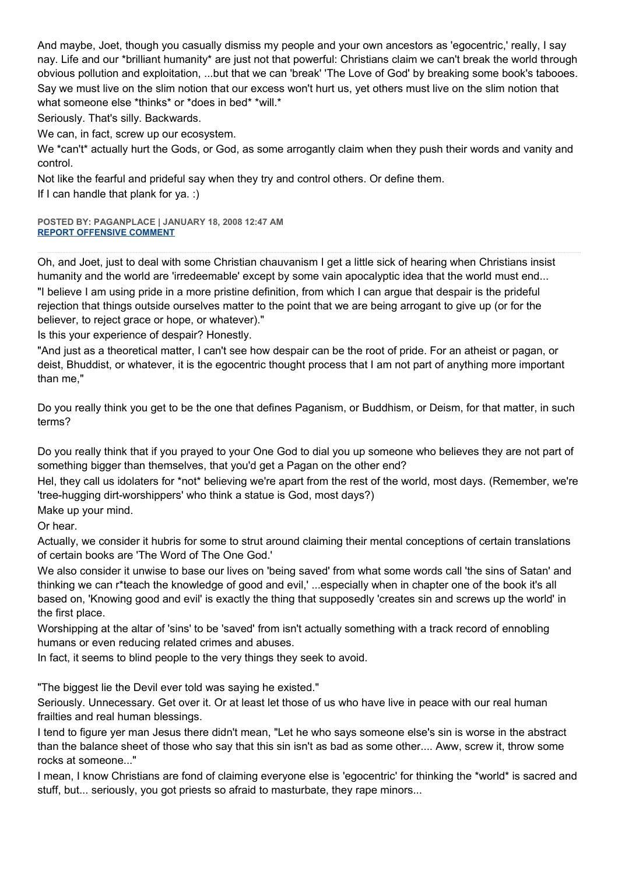And maybe, Joet, though you casually dismiss my people and your own ancestors as 'egocentric,' really, I say nay. Life and our \*brilliant humanity\* are just not that powerful: Christians claim we can't break the world through obvious pollution and exploitation, ...but that we can 'break' 'The Love of God' by breaking some book's tabooes. Say we must live on the slim notion that our excess won't hurt us, yet others must live on the slim notion that what someone else \*thinks\* or \*does in bed\* \*will.\*

Seriously. That's silly. Backwards.

We can, in fact, screw up our ecosystem.

We \*can't\* actually hurt the Gods, or God, as some arrogantly claim when they push their words and vanity and control.

Not like the fearful and prideful say when they try and control others. Or define them.

If I can handle that plank for ya. :)

**POSTED BY: PAGANPLACE | JANUARY 18, 2008 12:47 AM [REPORT OFFENSIVE COMMENT](mailto:blogs@washingtonpost.com?subject=On%20Faith%20Panelists%20Blog%20%20%7C%20%20Paganplace%20%20%7C%20%20Generosity%20Shames%20Greed%20%20%7C%20%202201428&body=%0D%0D%0D%0D%0D================%0D?__mode=view%26_type=comment%26id=2201428%26blog_id=618)**

Oh, and Joet, just to deal with some Christian chauvanism I get a little sick of hearing when Christians insist humanity and the world are 'irredeemable' except by some vain apocalyptic idea that the world must end... "I believe I am using pride in a more pristine definition, from which I can argue that despair is the prideful rejection that things outside ourselves matter to the point that we are being arrogant to give up (or for the believer, to reject grace or hope, or whatever)."

Is this your experience of despair? Honestly.

"And just as a theoretical matter, I can't see how despair can be the root of pride. For an atheist or pagan, or deist, Bhuddist, or whatever, it is the egocentric thought process that I am not part of anything more important than me,"

Do you really think you get to be the one that defines Paganism, or Buddhism, or Deism, for that matter, in such terms?

Do you really think that if you prayed to your One God to dial you up someone who believes they are not part of something bigger than themselves, that you'd get a Pagan on the other end?

Hel, they call us idolaters for \*not\* believing we're apart from the rest of the world, most days. (Remember, we're 'tree-hugging dirt-worshippers' who think a statue is God, most days?)

Make up your mind.

Or hear.

Actually, we consider it hubris for some to strut around claiming their mental conceptions of certain translations of certain books are 'The Word of The One God.'

We also consider it unwise to base our lives on 'being saved' from what some words call 'the sins of Satan' and thinking we can r\*teach the knowledge of good and evil,' ...especially when in chapter one of the book it's all based on, 'Knowing good and evil' is exactly the thing that supposedly 'creates sin and screws up the world' in the first place.

Worshipping at the altar of 'sins' to be 'saved' from isn't actually something with a track record of ennobling humans or even reducing related crimes and abuses.

In fact, it seems to blind people to the very things they seek to avoid.

"The biggest lie the Devil ever told was saying he existed."

Seriously. Unnecessary. Get over it. Or at least let those of us who have live in peace with our real human frailties and real human blessings.

I tend to figure yer man Jesus there didn't mean, "Let he who says someone else's sin is worse in the abstract than the balance sheet of those who say that this sin isn't as bad as some other.... Aww, screw it, throw some rocks at someone..."

I mean, I know Christians are fond of claiming everyone else is 'egocentric' for thinking the \*world\* is sacred and stuff, but... seriously, you got priests so afraid to masturbate, they rape minors...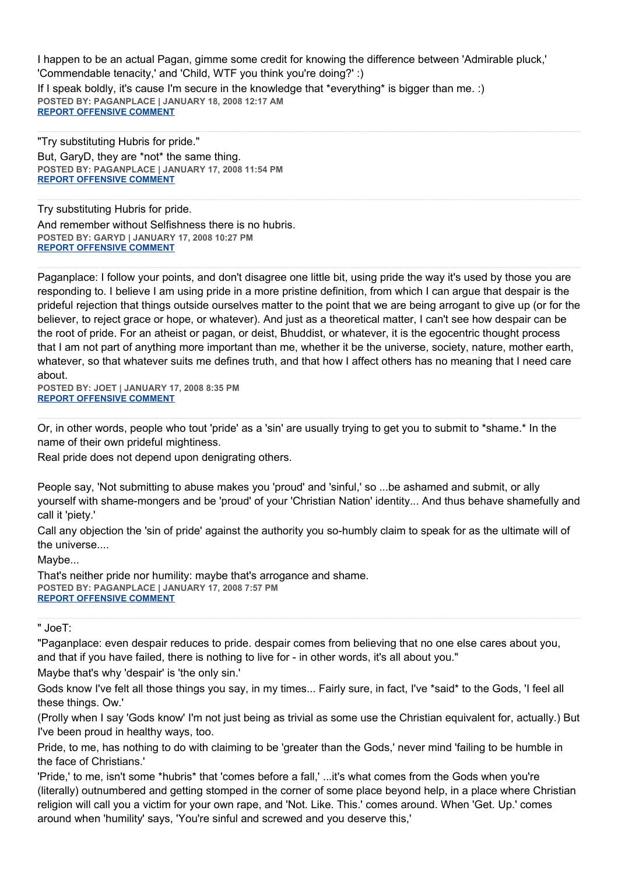I happen to be an actual Pagan, gimme some credit for knowing the difference between 'Admirable pluck,' 'Commendable tenacity,' and 'Child, WTF you think you're doing?' :)

If I speak boldly, it's cause I'm secure in the knowledge that \*everything\* is bigger than me. :) **POSTED BY: PAGANPLACE | JANUARY 18, 2008 12:17 AM [REPORT OFFENSIVE COMMENT](mailto:blogs@washingtonpost.com?subject=On%20Faith%20Panelists%20Blog%20%20%7C%20%20Paganplace%20%20%7C%20%20Generosity%20Shames%20Greed%20%20%7C%20%202201314&body=%0D%0D%0D%0D%0D================%0D?__mode=view%26_type=comment%26id=2201314%26blog_id=618)**

"Try substituting Hubris for pride." But, GaryD, they are \*not\* the same thing. **POSTED BY: PAGANPLACE | JANUARY 17, 2008 11:54 PM [REPORT OFFENSIVE COMMENT](mailto:blogs@washingtonpost.com?subject=On%20Faith%20Panelists%20Blog%20%20%7C%20%20Paganplace%20%20%7C%20%20Generosity%20Shames%20Greed%20%20%7C%20%202201239&body=%0D%0D%0D%0D%0D================%0D?__mode=view%26_type=comment%26id=2201239%26blog_id=618)**

Try substituting Hubris for pride.

And remember without Selfishness there is no hubris. **POSTED BY: GARYD | JANUARY 17, 2008 10:27 PM [REPORT OFFENSIVE COMMENT](mailto:blogs@washingtonpost.com?subject=On%20Faith%20Panelists%20Blog%20%20%7C%20%20GAryd%20%20%7C%20%20Generosity%20Shames%20Greed%20%20%7C%20%202200938&body=%0D%0D%0D%0D%0D================%0D?__mode=view%26_type=comment%26id=2200938%26blog_id=618)**

Paganplace: I follow your points, and don't disagree one little bit, using pride the way it's used by those you are responding to. I believe I am using pride in a more pristine definition, from which I can argue that despair is the prideful rejection that things outside ourselves matter to the point that we are being arrogant to give up (or for the believer, to reject grace or hope, or whatever). And just as a theoretical matter, I can't see how despair can be the root of pride. For an atheist or pagan, or deist, Bhuddist, or whatever, it is the egocentric thought process that I am not part of anything more important than me, whether it be the universe, society, nature, mother earth, whatever, so that whatever suits me defines truth, and that how I affect others has no meaning that I need care about.

**POSTED BY: JOET | JANUARY 17, 2008 8:35 PM [REPORT OFFENSIVE COMMENT](mailto:blogs@washingtonpost.com?subject=On%20Faith%20Panelists%20Blog%20%20%7C%20%20JoeT%20%20%7C%20%20Generosity%20Shames%20Greed%20%20%7C%20%202200433&body=%0D%0D%0D%0D%0D================%0D?__mode=view%26_type=comment%26id=2200433%26blog_id=618)**

Or, in other words, people who tout 'pride' as a 'sin' are usually trying to get you to submit to \*shame.\* In the name of their own prideful mightiness.

Real pride does not depend upon denigrating others.

People say, 'Not submitting to abuse makes you 'proud' and 'sinful,' so ...be ashamed and submit, or ally yourself with shame-mongers and be 'proud' of your 'Christian Nation' identity... And thus behave shamefully and call it 'piety.'

Call any objection the 'sin of pride' against the authority you so-humbly claim to speak for as the ultimate will of the universe....

Maybe...

That's neither pride nor humility: maybe that's arrogance and shame. **POSTED BY: PAGANPLACE | JANUARY 17, 2008 7:57 PM [REPORT OFFENSIVE COMMENT](mailto:blogs@washingtonpost.com?subject=On%20Faith%20Panelists%20Blog%20%20%7C%20%20Paganplace%20%20%7C%20%20Generosity%20Shames%20Greed%20%20%7C%20%202200232&body=%0D%0D%0D%0D%0D================%0D?__mode=view%26_type=comment%26id=2200232%26blog_id=618)**

" JoeT:

"Paganplace: even despair reduces to pride. despair comes from believing that no one else cares about you, and that if you have failed, there is nothing to live for - in other words, it's all about you."

Maybe that's why 'despair' is 'the only sin.'

Gods know I've felt all those things you say, in my times... Fairly sure, in fact, I've \*said\* to the Gods, 'I feel all these things. Ow.'

(Prolly when I say 'Gods know' I'm not just being as trivial as some use the Christian equivalent for, actually.) But I've been proud in healthy ways, too.

Pride, to me, has nothing to do with claiming to be 'greater than the Gods,' never mind 'failing to be humble in the face of Christians.'

'Pride,' to me, isn't some \*hubris\* that 'comes before a fall,' ...it's what comes from the Gods when you're (literally) outnumbered and getting stomped in the corner of some place beyond help, in a place where Christian religion will call you a victim for your own rape, and 'Not. Like. This.' comes around. When 'Get. Up.' comes around when 'humility' says, 'You're sinful and screwed and you deserve this,'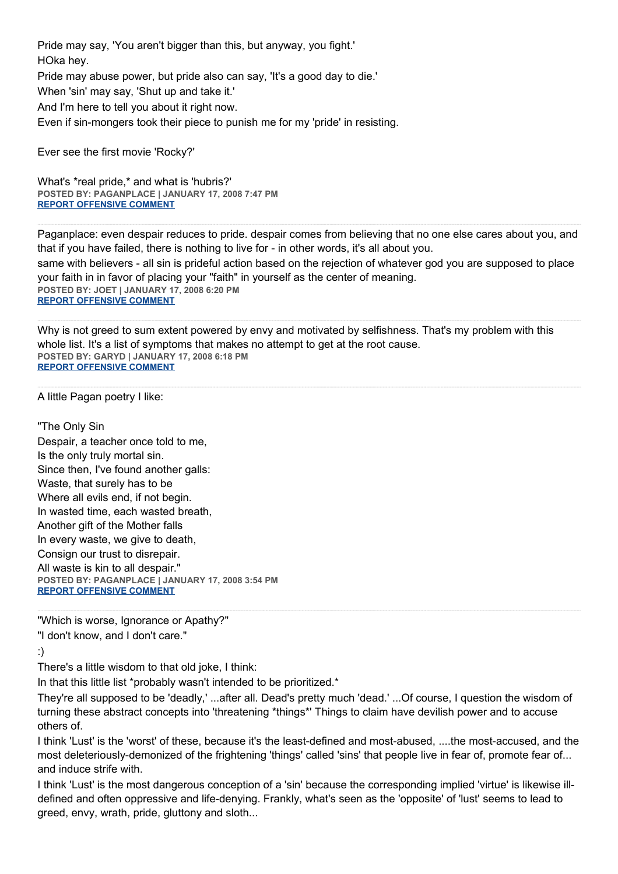Pride may say, 'You aren't bigger than this, but anyway, you fight.' HOka hey. Pride may abuse power, but pride also can say, 'It's a good day to die.' When 'sin' may say, 'Shut up and take it.' And I'm here to tell you about it right now. Even if sin-mongers took their piece to punish me for my 'pride' in resisting.

Ever see the first movie 'Rocky?'

What's \*real pride,\* and what is 'hubris?' **POSTED BY: PAGANPLACE | JANUARY 17, 2008 7:47 PM [REPORT OFFENSIVE COMMENT](mailto:blogs@washingtonpost.com?subject=On%20Faith%20Panelists%20Blog%20%20%7C%20%20Paganplace%20%20%7C%20%20Generosity%20Shames%20Greed%20%20%7C%20%202200186&body=%0D%0D%0D%0D%0D================%0D?__mode=view%26_type=comment%26id=2200186%26blog_id=618)**

Paganplace: even despair reduces to pride. despair comes from believing that no one else cares about you, and that if you have failed, there is nothing to live for - in other words, it's all about you. same with believers - all sin is prideful action based on the rejection of whatever god you are supposed to place your faith in in favor of placing your "faith" in yourself as the center of meaning. **POSTED BY: JOET | JANUARY 17, 2008 6:20 PM [REPORT OFFENSIVE COMMENT](mailto:blogs@washingtonpost.com?subject=On%20Faith%20Panelists%20Blog%20%20%7C%20%20JoeT%20%20%7C%20%20Generosity%20Shames%20Greed%20%20%7C%20%202199718&body=%0D%0D%0D%0D%0D================%0D?__mode=view%26_type=comment%26id=2199718%26blog_id=618)**

Why is not greed to sum extent powered by envy and motivated by selfishness. That's my problem with this whole list. It's a list of symptoms that makes no attempt to get at the root cause. **POSTED BY: GARYD | JANUARY 17, 2008 6:18 PM [REPORT OFFENSIVE COMMENT](mailto:blogs@washingtonpost.com?subject=On%20Faith%20Panelists%20Blog%20%20%7C%20%20Garyd%20%20%7C%20%20Generosity%20Shames%20Greed%20%20%7C%20%202199706&body=%0D%0D%0D%0D%0D================%0D?__mode=view%26_type=comment%26id=2199706%26blog_id=618)**

A little Pagan poetry I like:

"The Only Sin Despair, a teacher once told to me, Is the only truly mortal sin. Since then, I've found another galls: Waste, that surely has to be Where all evils end, if not begin. In wasted time, each wasted breath, Another gift of the Mother falls In every waste, we give to death, Consign our trust to disrepair. All waste is kin to all despair." **POSTED BY: PAGANPLACE | JANUARY 17, 2008 3:54 PM [REPORT OFFENSIVE COMMENT](mailto:blogs@washingtonpost.com?subject=On%20Faith%20Panelists%20Blog%20%20%7C%20%20Paganplace%20%20%7C%20%20Generosity%20Shames%20Greed%20%20%7C%20%202198968&body=%0D%0D%0D%0D%0D================%0D?__mode=view%26_type=comment%26id=2198968%26blog_id=618)**

"Which is worse, Ignorance or Apathy?" "I don't know, and I don't care."

:)

There's a little wisdom to that old joke, I think:

In that this little list \*probably wasn't intended to be prioritized.\*

They're all supposed to be 'deadly,' ...after all. Dead's pretty much 'dead.' ...Of course, I question the wisdom of turning these abstract concepts into 'threatening \*things\*' Things to claim have devilish power and to accuse others of.

I think 'Lust' is the 'worst' of these, because it's the least-defined and most-abused, ....the most-accused, and the most deleteriously-demonized of the frightening 'things' called 'sins' that people live in fear of, promote fear of... and induce strife with.

I think 'Lust' is the most dangerous conception of a 'sin' because the corresponding implied 'virtue' is likewise illdefined and often oppressive and life-denying. Frankly, what's seen as the 'opposite' of 'lust' seems to lead to greed, envy, wrath, pride, gluttony and sloth...